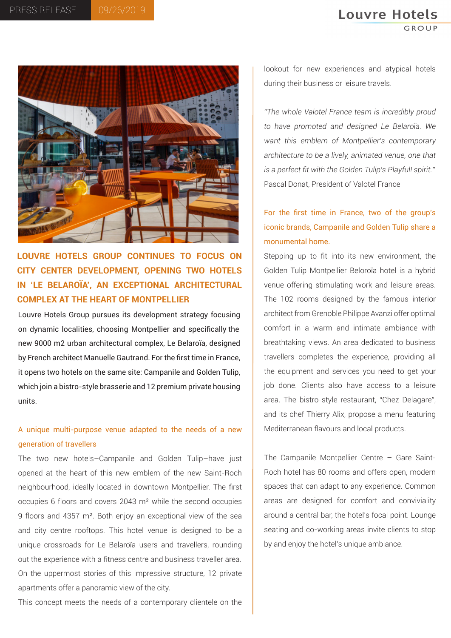# **Louvre Hotels**



**LOUVRE HOTELS GROUP CONTINUES TO FOCUS ON CITY CENTER DEVELOPMENT, OPENING TWO HOTELS IN 'LE BELAROÏA', AN EXCEPTIONAL ARCHITECTURAL COMPLEX AT THE HEART OF MONTPELLIER** 

Louvre Hotels Group pursues its development strategy focusing on dynamic localities, choosing Montpellier and specifically the new 9000 m2 urban architectural complex, Le Belaroïa, designed by French architect Manuelle Gautrand. For the first time in France, it opens two hotels on the same site: Campanile and Golden Tulip, which join a bistro-style brasserie and 12 premium private housing units.

## A unique multi-purpose venue adapted to the needs of a new generation of travellers

The two new hotels–Campanile and Golden Tulip–have just opened at the heart of this new emblem of the new Saint-Roch neighbourhood, ideally located in downtown Montpellier. The first occupies 6 floors and covers 2043 m² while the second occupies 9 floors and 4357 m². Both enjoy an exceptional view of the sea and city centre rooftops. This hotel venue is designed to be a unique crossroads for Le Belaroïa users and travellers, rounding out the experience with a fitness centre and business traveller area. On the uppermost stories of this impressive structure, 12 private apartments offer a panoramic view of the city.

This concept meets the needs of a contemporary clientele on the

lookout for new experiences and atypical hotels during their business or leisure travels.

*"The whole Valotel France team is incredibly proud to have promoted and designed Le Belaroïa. We want this emblem of Montpellier's contemporary architecture to be a lively, animated venue, one that is a perfect fit with the Golden Tulip's Playful! spirit."* Pascal Donat, President of Valotel France

For the first time in France, two of the group's iconic brands, Campanile and Golden Tulip share a monumental home.

Stepping up to fit into its new environment, the Golden Tulip Montpellier Beloroïa hotel is a hybrid venue offering stimulating work and leisure areas. The 102 rooms designed by the famous interior architect from Grenoble Philippe Avanzi offer optimal comfort in a warm and intimate ambiance with breathtaking views. An area dedicated to business travellers completes the experience, providing all the equipment and services you need to get your job done. Clients also have access to a leisure area. The bistro-style restaurant, "Chez Delagare", and its chef Thierry Alix, propose a menu featuring Mediterranean flavours and local products.

The Campanile Montpellier Centre – Gare Saint-Roch hotel has 80 rooms and offers open, modern spaces that can adapt to any experience. Common areas are designed for comfort and conviviality around a central bar, the hotel's focal point. Lounge seating and co-working areas invite clients to stop by and enjoy the hotel's unique ambiance.